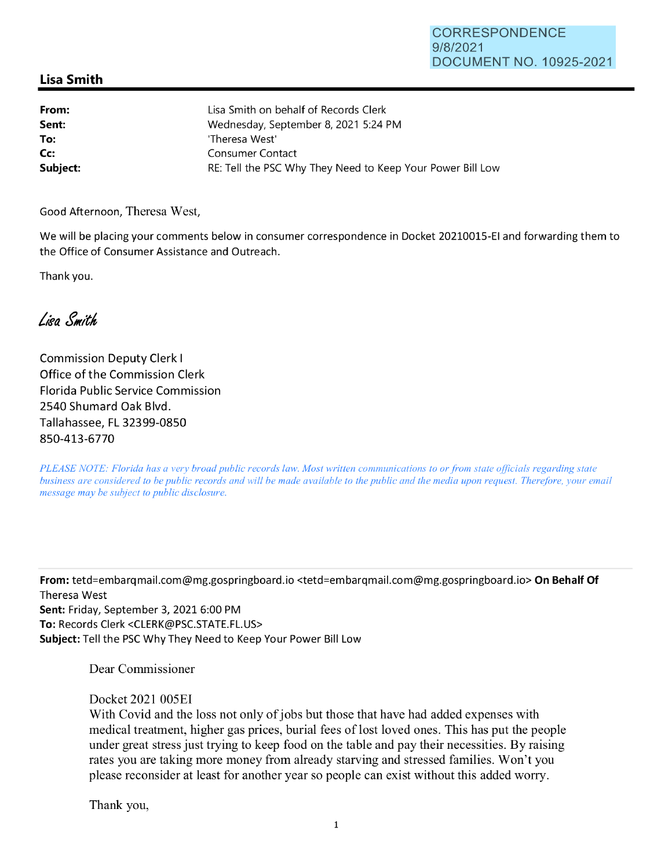## CORRESPONDENCE 9/8/2021 DOCUMENT NO. 10925-2021

## **Lisa Smith**

| From:    | Lisa Smith on behalf of Records Clerk                      |
|----------|------------------------------------------------------------|
| Sent:    | Wednesday, September 8, 2021 5:24 PM                       |
| To:      | 'Theresa West'                                             |
| Cc:      | Consumer Contact                                           |
| Subject: | RE: Tell the PSC Why They Need to Keep Your Power Bill Low |

Good Afternoon, Theresa West,

We will be placing your comments below in consumer correspondence in Docket 20210015-EI and forwarding them to the Office of Consumer Assistance and Outreach.

Thank you.

Lisa Smith

Commission Deputy Clerk I Office of the Commission Clerk Florida Public Service Commission 2540 Shumard Oak Blvd. Tallahassee, FL 32399-0850 850-413-6770

*PLEASE NOTE: Florida has a very broad public records law. Most written communications to or from state officials regarding state business are considered to be public records and will be made available to the public and the media upon request. Therefore, your email message may be subject to public disclosure.* 

**From:** tetd=embarqmail.com@mg.gospringboard.io <tetd=embarqmail.com@mg.gospringboard.io> **On Behalf Of**  Theresa West **Sent:** Friday, September 3, 2021 6:00 PM **To:** Records Clerk <CLERK@PSC.STATE.FL.US> **Subject:** Tell the PSC Why They Need to Keep Your Power Bill Low

Dear Commissioner

Docket 2021 005EI

With Covid and the loss not only of jobs but those that have had added expenses with medical treatment, higher gas prices, burial fees of lost loved ones. This has put the people under great stress just trying to keep food on the table and pay their necessities. By raising rates you are taking more money from already starving and stressed families. Won't you please reconsider at least for another year so people can exist without this added worry.

Thank you,